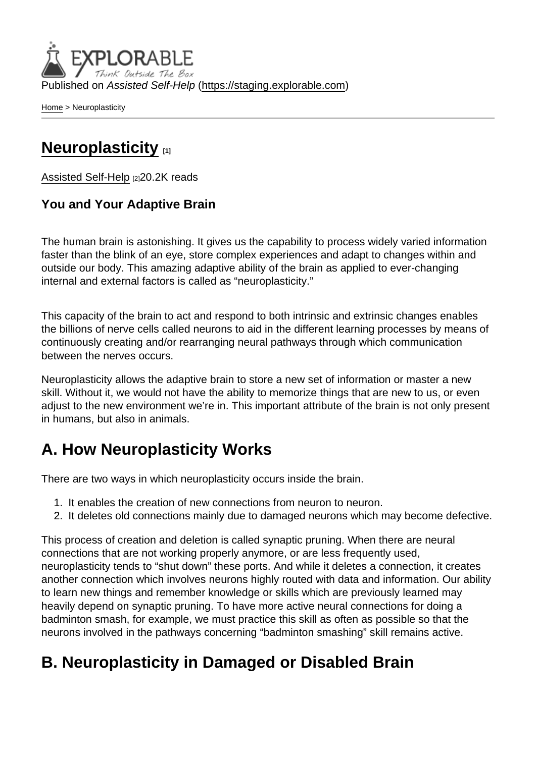Published on Assisted Self-Help [\(https://staging.explorable.com](https://staging.explorable.com))

[Home](https://staging.explorable.com/en) > Neuroplasticity

## [Neuroplasticity](https://staging.explorable.com/en/neuroplasticity) [1]

[Assisted Self-Help](https://staging.explorable.com/en) [2]20.2K reads

You and Your Adaptive Brain

The human brain is astonishing. It gives us the capability to process widely varied information faster than the blink of an eye, store complex experiences and adapt to changes within and outside our body. This amazing adaptive ability of the brain as applied to ever-changing internal and external factors is called as "neuroplasticity."

This capacity of the brain to act and respond to both intrinsic and extrinsic changes enables the billions of nerve cells called neurons to aid in the different learning processes by means of continuously creating and/or rearranging neural pathways through which communication between the nerves occurs.

Neuroplasticity allows the adaptive brain to store a new set of information or master a new skill. Without it, we would not have the ability to memorize things that are new to us, or even adjust to the new environment we're in. This important attribute of the brain is not only present in humans, but also in animals.

## A. How Neuroplasticity Works

There are two ways in which neuroplasticity occurs inside the brain.

- 1. It enables the creation of new connections from neuron to neuron.
- 2. It deletes old connections mainly due to damaged neurons which may become defective.

This process of creation and deletion is called synaptic pruning. When there are neural connections that are not working properly anymore, or are less frequently used, neuroplasticity tends to "shut down" these ports. And while it deletes a connection, it creates another connection which involves neurons highly routed with data and information. Our ability to learn new things and remember knowledge or skills which are previously learned may heavily depend on synaptic pruning. To have more active neural connections for doing a badminton smash, for example, we must practice this skill as often as possible so that the neurons involved in the pathways concerning "badminton smashing" skill remains active.

## B. Neuroplasticity in Damaged or Disabled Brain